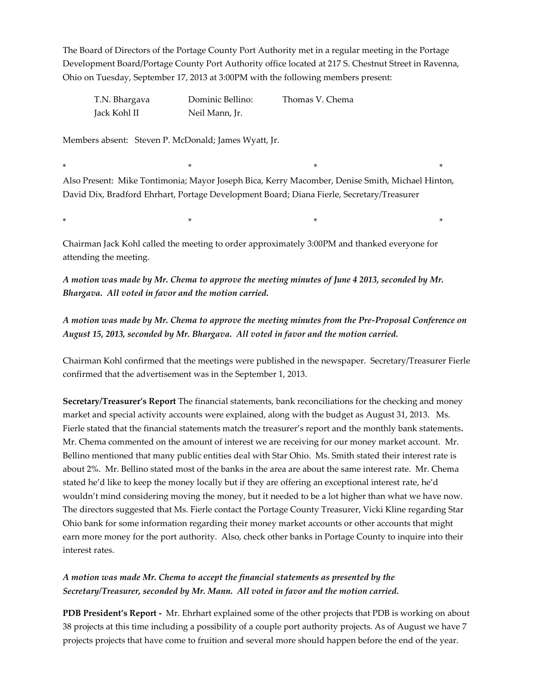The Board of Directors of the Portage County Port Authority met in a regular meeting in the Portage Development Board/Portage County Port Authority office located at 217 S. Chestnut Street in Ravenna, Ohio on Tuesday, September 17, 2013 at 3:00PM with the following members present:

| T.N. Bhargava | Dominic Bellino: | Thomas V. Chema |
|---------------|------------------|-----------------|
| Jack Kohl II  | Neil Mann, Jr.   |                 |

Members absent: Steven P. McDonald; James Wyatt, Jr.

\* \* \* \* Also Present: Mike Tontimonia; Mayor Joseph Bica, Kerry Macomber, Denise Smith, Michael Hinton, David Dix, Bradford Ehrhart, Portage Development Board; Diana Fierle, Secretary/Treasurer

\* \* \* \*

Chairman Jack Kohl called the meeting to order approximately 3:00PM and thanked everyone for attending the meeting.

*A motion was made by Mr. Chema to approve the meeting minutes of June 4 2013, seconded by Mr. Bhargava. All voted in favor and the motion carried.*

*A motion was made by Mr. Chema to approve the meeting minutes from the Pre-Proposal Conference on August 15, 2013, seconded by Mr. Bhargava. All voted in favor and the motion carried.*

Chairman Kohl confirmed that the meetings were published in the newspaper. Secretary/Treasurer Fierle confirmed that the advertisement was in the September 1, 2013.

**Secretary/Treasurer's Report** The financial statements, bank reconciliations for the checking and money market and special activity accounts were explained, along with the budget as August 31, 2013. Ms. Fierle stated that the financial statements match the treasurer's report and the monthly bank statements*.*  Mr. Chema commented on the amount of interest we are receiving for our money market account. Mr. Bellino mentioned that many public entities deal with Star Ohio. Ms. Smith stated their interest rate is about 2%. Mr. Bellino stated most of the banks in the area are about the same interest rate. Mr. Chema stated he'd like to keep the money locally but if they are offering an exceptional interest rate, he'd wouldn't mind considering moving the money, but it needed to be a lot higher than what we have now. The directors suggested that Ms. Fierle contact the Portage County Treasurer, Vicki Kline regarding Star Ohio bank for some information regarding their money market accounts or other accounts that might earn more money for the port authority. Also, check other banks in Portage County to inquire into their interest rates.

# *A motion was made Mr. Chema to accept the financial statements as presented by the Secretary/Treasurer, seconded by Mr. Mann. All voted in favor and the motion carried.*

**PDB President's Report -** Mr. Ehrhart explained some of the other projects that PDB is working on about 38 projects at this time including a possibility of a couple port authority projects. As of August we have 7 projects projects that have come to fruition and several more should happen before the end of the year.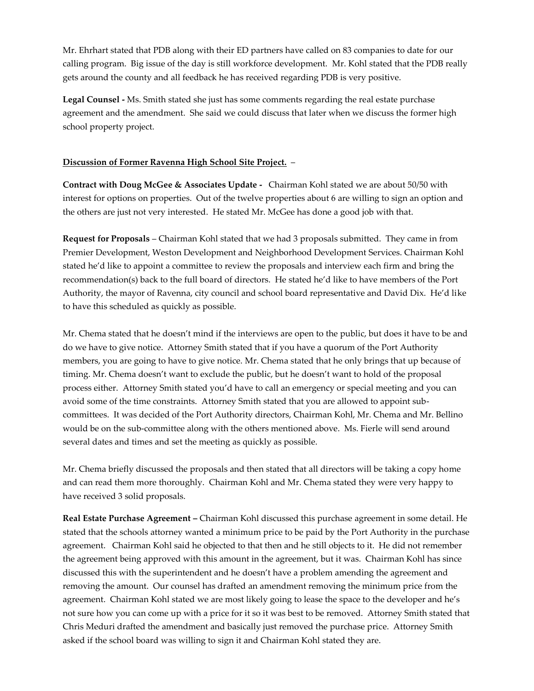Mr. Ehrhart stated that PDB along with their ED partners have called on 83 companies to date for our calling program. Big issue of the day is still workforce development. Mr. Kohl stated that the PDB really gets around the county and all feedback he has received regarding PDB is very positive.

**Legal Counsel -** Ms. Smith stated she just has some comments regarding the real estate purchase agreement and the amendment. She said we could discuss that later when we discuss the former high school property project.

#### **Discussion of Former Ravenna High School Site Project.** –

**Contract with Doug McGee & Associates Update -** Chairman Kohl stated we are about 50/50 with interest for options on properties. Out of the twelve properties about 6 are willing to sign an option and the others are just not very interested. He stated Mr. McGee has done a good job with that.

**Request for Proposals** – Chairman Kohl stated that we had 3 proposals submitted. They came in from Premier Development, Weston Development and Neighborhood Development Services. Chairman Kohl stated he'd like to appoint a committee to review the proposals and interview each firm and bring the recommendation(s) back to the full board of directors. He stated he'd like to have members of the Port Authority, the mayor of Ravenna, city council and school board representative and David Dix. He'd like to have this scheduled as quickly as possible.

Mr. Chema stated that he doesn't mind if the interviews are open to the public, but does it have to be and do we have to give notice. Attorney Smith stated that if you have a quorum of the Port Authority members, you are going to have to give notice. Mr. Chema stated that he only brings that up because of timing. Mr. Chema doesn't want to exclude the public, but he doesn't want to hold of the proposal process either. Attorney Smith stated you'd have to call an emergency or special meeting and you can avoid some of the time constraints. Attorney Smith stated that you are allowed to appoint subcommittees. It was decided of the Port Authority directors, Chairman Kohl, Mr. Chema and Mr. Bellino would be on the sub-committee along with the others mentioned above. Ms. Fierle will send around several dates and times and set the meeting as quickly as possible.

Mr. Chema briefly discussed the proposals and then stated that all directors will be taking a copy home and can read them more thoroughly. Chairman Kohl and Mr. Chema stated they were very happy to have received 3 solid proposals.

**Real Estate Purchase Agreement –** Chairman Kohl discussed this purchase agreement in some detail. He stated that the schools attorney wanted a minimum price to be paid by the Port Authority in the purchase agreement. Chairman Kohl said he objected to that then and he still objects to it. He did not remember the agreement being approved with this amount in the agreement, but it was. Chairman Kohl has since discussed this with the superintendent and he doesn't have a problem amending the agreement and removing the amount. Our counsel has drafted an amendment removing the minimum price from the agreement. Chairman Kohl stated we are most likely going to lease the space to the developer and he's not sure how you can come up with a price for it so it was best to be removed. Attorney Smith stated that Chris Meduri drafted the amendment and basically just removed the purchase price. Attorney Smith asked if the school board was willing to sign it and Chairman Kohl stated they are.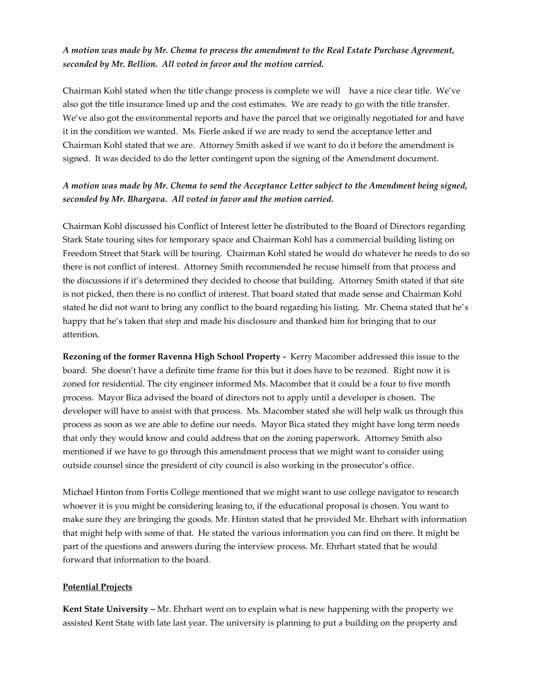## *A motion was made by Mr. Chema to process the amendment to the Real Estate Purchase Agreement, seconded by Mr. Bellion. All voted in favor and the motion carried.*

Chairman Kohl stated when the title change process is complete we will have a nice clear title. We've also got the title insurance lined up and the cost estimates. We are ready to go with the title transfer. We've also got the environmental reports and have the parcel that we originally negotiated for and have it in the condition we wanted. Ms. Fierle asked if we are ready to send the acceptance letter and Chairman Kohl stated that we are. Attorney Smith asked if we want to do it before the amendment is signed. It was decided to do the letter contingent upon the signing of the Amendment document.

# *A motion was made by Mr. Chema to send the Acceptance Letter subject to the Amendment being signed, seconded by Mr. Bhargava. All voted in favor and the motion carried.*

Chairman Kohl discussed his Conflict of Interest letter he distributed to the Board of Directors regarding Stark State touring sites for temporary space and Chairman Kohl has a commercial building listing on Freedom Street that Stark will be touring. Chairman Kohl stated he would do whatever he needs to do so there is not conflict of interest. Attorney Smith recommended he recuse himself from that process and the discussions if it's determined they decided to choose that building. Attorney Smith stated if that site is not picked, then there is no conflict of interest. That board stated that made sense and Chairman Kohl stated he did not want to bring any conflict to the board regarding his listing. Mr. Chema stated that he's happy that he's taken that step and made his disclosure and thanked him for bringing that to our attention.

**Rezoning of the former Ravenna High School Property -** Kerry Macomber addressed this issue to the board. She doesn't have a definite time frame for this but it does have to be rezoned. Right now it is zoned for residential. The city engineer informed Ms. Macomber that it could be a four to five month process. Mayor Bica advised the board of directors not to apply until a developer is chosen. The developer will have to assist with that process. Ms. Macomber stated she will help walk us through this process as soon as we are able to define our needs. Mayor Bica stated they might have long term needs that only they would know and could address that on the zoning paperwork. Attorney Smith also mentioned if we have to go through this amendment process that we might want to consider using outside counsel since the president of city council is also working in the prosecutor's office.

Michael Hinton from Fortis College mentioned that we might want to use college navigator to research whoever it is you might be considering leasing to, if the educational proposal is chosen. You want to make sure they are bringing the goods. Mr. Hinton stated that he provided Mr. Ehrhart with information that might help with some of that. He stated the various information you can find on there. It might be part of the questions and answers during the interview process. Mr. Ehrhart stated that he would forward that information to the board.

### **Potential Projects**

**Kent State University –** Mr. Ehrhart went on to explain what is new happening with the property we assisted Kent State with late last year. The university is planning to put a building on the property and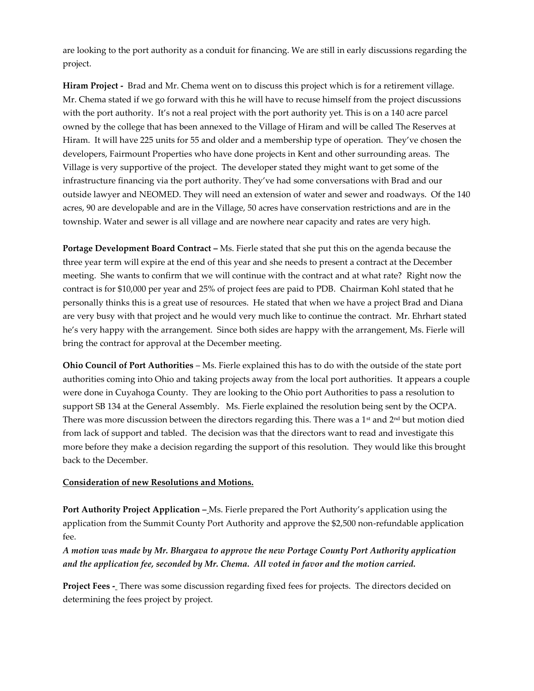are looking to the port authority as a conduit for financing. We are still in early discussions regarding the project.

**Hiram Project -** Brad and Mr. Chema went on to discuss this project which is for a retirement village. Mr. Chema stated if we go forward with this he will have to recuse himself from the project discussions with the port authority. It's not a real project with the port authority yet. This is on a 140 acre parcel owned by the college that has been annexed to the Village of Hiram and will be called The Reserves at Hiram. It will have 225 units for 55 and older and a membership type of operation. They've chosen the developers, Fairmount Properties who have done projects in Kent and other surrounding areas. The Village is very supportive of the project. The developer stated they might want to get some of the infrastructure financing via the port authority. They've had some conversations with Brad and our outside lawyer and NEOMED. They will need an extension of water and sewer and roadways. Of the 140 acres, 90 are developable and are in the Village, 50 acres have conservation restrictions and are in the township. Water and sewer is all village and are nowhere near capacity and rates are very high.

**Portage Development Board Contract –** Ms. Fierle stated that she put this on the agenda because the three year term will expire at the end of this year and she needs to present a contract at the December meeting. She wants to confirm that we will continue with the contract and at what rate? Right now the contract is for \$10,000 per year and 25% of project fees are paid to PDB. Chairman Kohl stated that he personally thinks this is a great use of resources. He stated that when we have a project Brad and Diana are very busy with that project and he would very much like to continue the contract. Mr. Ehrhart stated he's very happy with the arrangement. Since both sides are happy with the arrangement, Ms. Fierle will bring the contract for approval at the December meeting.

**Ohio Council of Port Authorities** – Ms. Fierle explained this has to do with the outside of the state port authorities coming into Ohio and taking projects away from the local port authorities. It appears a couple were done in Cuyahoga County. They are looking to the Ohio port Authorities to pass a resolution to support SB 134 at the General Assembly. Ms. Fierle explained the resolution being sent by the OCPA. There was more discussion between the directors regarding this. There was a  $1<sup>st</sup>$  and  $2<sup>nd</sup>$  but motion died from lack of support and tabled. The decision was that the directors want to read and investigate this more before they make a decision regarding the support of this resolution. They would like this brought back to the December.

### **Consideration of new Resolutions and Motions.**

**Port Authority Project Application –** Ms. Fierle prepared the Port Authority's application using the application from the Summit County Port Authority and approve the \$2,500 non-refundable application fee.

*A motion was made by Mr. Bhargava to approve the new Portage County Port Authority application and the application fee, seconded by Mr. Chema. All voted in favor and the motion carried.*

**Project Fees -** There was some discussion regarding fixed fees for projects. The directors decided on determining the fees project by project.